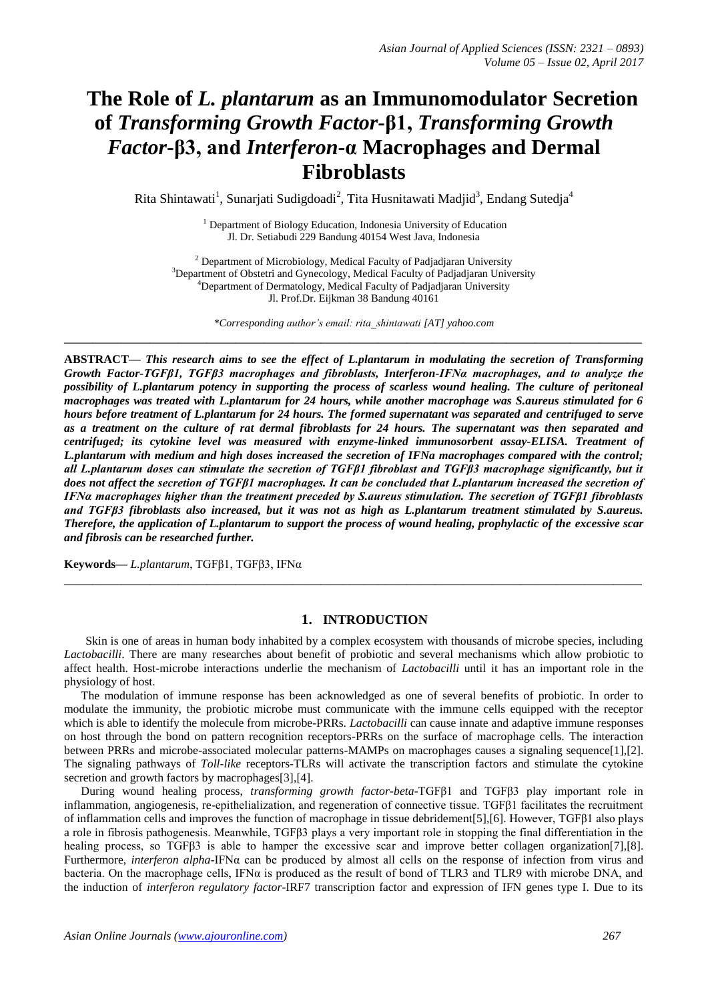# **The Role of** *L. plantarum* **as an Immunomodulator Secretion of** *Transforming Growth Factor***-β1,** *Transforming Growth Factor***-β3, and** *Interferon***-α Macrophages and Dermal Fibroblasts**

Rita Shintawati<sup>1</sup>, Sunarjati Sudigdoadi<sup>2</sup>, Tita Husnitawati Madjid<sup>3</sup>, Endang Sutedja<sup>4</sup>

<sup>1</sup> Department of Biology Education, Indonesia University of Education Jl. Dr. Setiabudi 229 Bandung 40154 West Java, Indonesia

<sup>2</sup> Department of Microbiology, Medical Faculty of Padjadjaran University <sup>3</sup>Department of Obstetri and Gynecology, Medical Faculty of Padjadjaran University <sup>4</sup>Department of Dermatology, Medical Faculty of Padjadjaran University Jl. Prof.Dr. Eijkman 38 Bandung 40161

*\*Corresponding author's email: rita\_shintawati [AT] yahoo.com* **\_\_\_\_\_\_\_\_\_\_\_\_\_\_\_\_\_\_\_\_\_\_\_\_\_\_\_\_\_\_\_\_\_\_\_\_\_\_\_\_\_\_\_\_\_\_\_\_\_\_\_\_\_\_\_\_\_\_\_\_\_\_\_\_\_\_\_\_\_\_\_\_\_\_\_\_\_\_\_\_\_**

**ABSTRACT—** *This research aims to see the effect of L.plantarum in modulating the secretion of Transforming Growth Factor-TGFβ1, TGFβ3 macrophages and fibroblasts, Interferon-IFNα macrophages, and to analyze the possibility of L.plantarum potency in supporting the process of scarless wound healing. The culture of peritoneal macrophages was treated with L.plantarum for 24 hours, while another macrophage was S.aureus stimulated for 6 hours before treatment of L.plantarum for 24 hours. The formed supernatant was separated and centrifuged to serve as a treatment on the culture of rat dermal fibroblasts for 24 hours. The supernatant was then separated and centrifuged; its cytokine level was measured with enzyme-linked immunosorbent assay-ELISA. Treatment of L.plantarum with medium and high doses increased the secretion of IFNa macrophages compared with the control; all L.plantarum doses can stimulate the secretion of TGFβ1 fibroblast and TGFβ3 macrophage significantly, but it does not affect the secretion of TGFβ1 macrophages. It can be concluded that L.plantarum increased the secretion of IFNα macrophages higher than the treatment preceded by S.aureus stimulation. The secretion of TGFβ1 fibroblasts and TGFβ3 fibroblasts also increased, but it was not as high as L.plantarum treatment stimulated by S.aureus. Therefore, the application of L.plantarum to support the process of wound healing, prophylactic of the excessive scar and fibrosis can be researched further.*

**Keywords—** *L.plantarum*, TGFβ1, TGFβ3, IFNα

# **1. INTRODUCTION**

Skin is one of areas in human body inhabited by a complex ecosystem with thousands of microbe species, including *Lactobacilli*. There are many researches about benefit of probiotic and several mechanisms which allow probiotic to affect health. Host-microbe interactions underlie the mechanism of *Lactobacilli* until it has an important role in the physiology of host.

**\_\_\_\_\_\_\_\_\_\_\_\_\_\_\_\_\_\_\_\_\_\_\_\_\_\_\_\_\_\_\_\_\_\_\_\_\_\_\_\_\_\_\_\_\_\_\_\_\_\_\_\_\_\_\_\_\_\_\_\_\_\_\_\_\_\_\_\_\_\_\_\_\_\_\_\_\_\_\_\_\_**

The modulation of immune response has been acknowledged as one of several benefits of probiotic. In order to modulate the immunity, the probiotic microbe must communicate with the immune cells equipped with the receptor which is able to identify the molecule from microbe-PRRs. *Lactobacilli* can cause innate and adaptive immune responses on host through the bond on pattern recognition receptors-PRRs on the surface of macrophage cells. The interaction between PRRs and microbe-associated molecular patterns-MAMPs on macrophages causes a signaling sequence[1],[2]. The signaling pathways of *Toll-like* receptors-TLRs will activate the transcription factors and stimulate the cytokine secretion and growth factors by macrophages[3],[4].

During wound healing process, *transforming growth factor-beta*-TGFβ1 and TGFβ3 play important role in inflammation, angiogenesis, re-epithelialization, and regeneration of connective tissue. TGFβ1 facilitates the recruitment of inflammation cells and improves the function of macrophage in tissue debridement[5],[6]. However, TGFβ1 also plays a role in fibrosis pathogenesis. Meanwhile, TGFβ3 plays a very important role in stopping the final differentiation in the healing process, so TGFβ3 is able to hamper the excessive scar and improve better collagen organization[7],[8]. Furthermore, *interferon alpha*-IFNα can be produced by almost all cells on the response of infection from virus and bacteria. On the macrophage cells, IFNα is produced as the result of bond of TLR3 and TLR9 with microbe DNA, and the induction of *interferon regulatory factor*-IRF7 transcription factor and expression of IFN genes type I. Due to its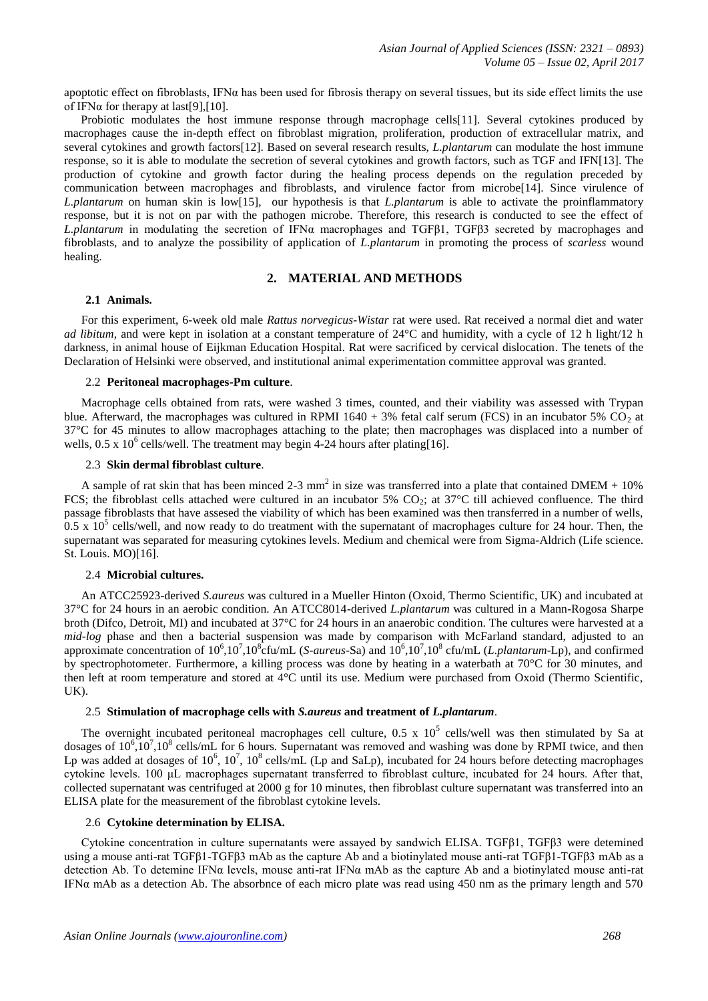apoptotic effect on fibroblasts, IFNα has been used for fibrosis therapy on several tissues, but its side effect limits the use of IFN $\alpha$  for therapy at last[9],[10].

Probiotic modulates the host immune response through macrophage cells[11]. Several cytokines produced by macrophages cause the in-depth effect on fibroblast migration, proliferation, production of extracellular matrix, and several cytokines and growth factors[12]. Based on several research results, *L.plantarum* can modulate the host immune response, so it is able to modulate the secretion of several cytokines and growth factors, such as TGF and IFN[13]. The production of cytokine and growth factor during the healing process depends on the regulation preceded by communication between macrophages and fibroblasts, and virulence factor from microbe[14]. Since virulence of *L.plantarum* on human skin is low[15], our hypothesis is that *L.plantarum* is able to activate the proinflammatory response, but it is not on par with the pathogen microbe. Therefore, this research is conducted to see the effect of *L.plantarum* in modulating the secretion of IFNα macrophages and TGFβ1, TGFβ3 secreted by macrophages and fibroblasts, and to analyze the possibility of application of *L.plantarum* in promoting the process of *scarless* wound healing.

## **2. MATERIAL AND METHODS**

#### **2.1 Animals.**

For this experiment, 6-week old male *Rattus norvegicus*-*Wistar* rat were used. Rat received a normal diet and water *ad libitum*, and were kept in isolation at a constant temperature of 24°C and humidity, with a cycle of 12 h light/12 h darkness, in animal house of Eijkman Education Hospital. Rat were sacrificed by cervical dislocation. The tenets of the Declaration of Helsinki were observed, and institutional animal experimentation committee approval was granted.

## 2.2 **Peritoneal macrophages-Pm culture**.

Macrophage cells obtained from rats, were washed 3 times, counted, and their viability was assessed with Trypan blue. Afterward, the macrophages was cultured in RPMI 1640 + 3% fetal calf serum (FCS) in an incubator 5%  $CO<sub>2</sub>$  at 37°C for 45 minutes to allow macrophages attaching to the plate; then macrophages was displaced into a number of wells,  $0.5 \times 10^6$  cells/well. The treatment may begin 4-24 hours after plating[16].

## 2.3 **Skin dermal fibroblast culture**.

A sample of rat skin that has been minced 2-3 mm<sup>2</sup> in size was transferred into a plate that contained DMEM +  $10\%$ FCS; the fibroblast cells attached were cultured in an incubator 5% CO2; at 37°C till achieved confluence. The third passage fibroblasts that have assesed the viability of which has been examined was then transferred in a number of wells,  $0.5 \times 10^5$  cells/well, and now ready to do treatment with the supernatant of macrophages culture for 24 hour. Then, the supernatant was separated for measuring cytokines levels. Medium and chemical were from Sigma-Aldrich (Life science. St. Louis. MO)[16].

#### 2.4 **Microbial cultures.**

An ATCC25923-derived *S.aureus* was cultured in a Mueller Hinton (Oxoid, Thermo Scientific, UK) and incubated at 37°C for 24 hours in an aerobic condition. An ATCC8014-derived *L.plantarum* was cultured in a Mann-Rogosa Sharpe broth (Difco, Detroit, MI) and incubated at 37°C for 24 hours in an anaerobic condition. The cultures were harvested at a *mid-log* phase and then a bacterial suspension was made by comparison with McFarland standard, adjusted to an approximate concentration of  $10^6$ , $10^7$ , $10^8$ cfu/mL (*S-aureus-Sa*) and  $10^6$ , $10^7$ , $10^8$  cfu/mL (*L.plantarum-Lp*), and confirmed by spectrophotometer. Furthermore, a killing process was done by heating in a waterbath at 70°C for 30 minutes, and then left at room temperature and stored at 4°C until its use. Medium were purchased from Oxoid (Thermo Scientific, UK).

### 2.5 **Stimulation of macrophage cells with** *S.aureus* **and treatment of** *L.plantarum*.

The overnight incubated peritoneal macrophages cell culture,  $0.5 \times 10^5$  cells/well was then stimulated by Sa at dosages of  $10^6$ , $10^7$ , $10^8$  cells/mL for 6 hours. Supernatant was removed and washing was done by RPMI twice, and then Lp was added at dosages of  $10^6$ ,  $10^7$ ,  $10^8$  cells/mL (Lp and SaLp), incubated for 24 hours before detecting macrophages cytokine levels. 100 μL macrophages supernatant transferred to fibroblast culture, incubated for 24 hours. After that, collected supernatant was centrifuged at 2000 g for 10 minutes, then fibroblast culture supernatant was transferred into an ELISA plate for the measurement of the fibroblast cytokine levels.

#### 2.6 **Cytokine determination by ELISA.**

Cytokine concentration in culture supernatants were assayed by sandwich ELISA. TGFβ1, TGFβ3 were detemined using a mouse anti-rat TGFβ1-TGFβ3 mAb as the capture Ab and a biotinylated mouse anti-rat TGFβ1-TGFβ3 mAb as a detection Ab. To detemine IFNα levels, mouse anti-rat IFNα mAb as the capture Ab and a biotinylated mouse anti-rat IFNα mAb as a detection Ab. The absorbnce of each micro plate was read using 450 nm as the primary length and 570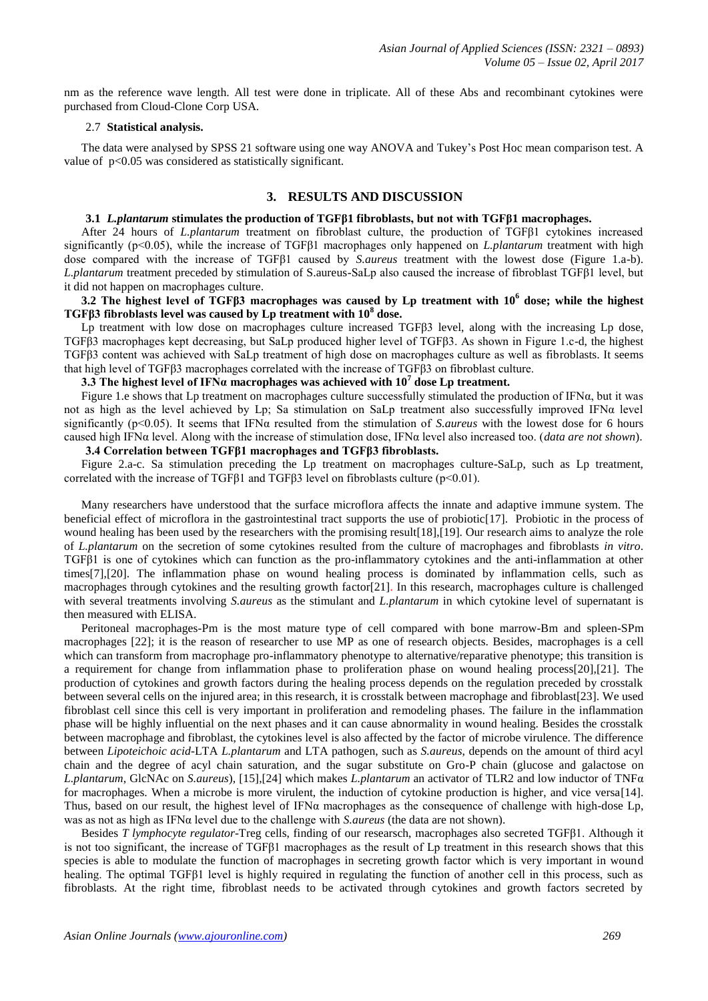nm as the reference wave length. All test were done in triplicate. All of these Abs and recombinant cytokines were purchased from Cloud-Clone Corp USA.

## 2.7 **Statistical analysis.**

The data were analysed by SPSS 21 software using one way ANOVA and Tukey's Post Hoc mean comparison test. A value of p<0.05 was considered as statistically significant.

## **3. RESULTS AND DISCUSSION**

## **3.1** *L.plantarum* **stimulates the production of TGFβ1 fibroblasts, but not with TGFβ1 macrophages.**

After 24 hours of *L.plantarum* treatment on fibroblast culture, the production of TGFβ1 cytokines increased significantly (p<0.05), while the increase of TGFβ1 macrophages only happened on *L.plantarum* treatment with high dose compared with the increase of TGFβ1 caused by *S.aureus* treatment with the lowest dose (Figure 1.a-b). *L.plantarum* treatment preceded by stimulation of S.aureus-SaLp also caused the increase of fibroblast TGFβ1 level, but it did not happen on macrophages culture.

**3.2 The highest level of TGFβ3 macrophages was caused by Lp treatment with 10<sup>6</sup> dose; while the highest TGFβ3 fibroblasts level was caused by Lp treatment with 10<sup>8</sup> dose.**

Lp treatment with low dose on macrophages culture increased TGFβ3 level, along with the increasing Lp dose, TGFβ3 macrophages kept decreasing, but SaLp produced higher level of TGFβ3. As shown in Figure 1.c-d, the highest TGFβ3 content was achieved with SaLp treatment of high dose on macrophages culture as well as fibroblasts. It seems that high level of TGFβ3 macrophages correlated with the increase of TGFβ3 on fibroblast culture.

**3.3 The highest level of IFNα macrophages was achieved with 10<sup>7</sup> dose Lp treatment.**

Figure 1.e shows that Lp treatment on macrophages culture successfully stimulated the production of IFN $\alpha$ , but it was not as high as the level achieved by Lp; Sa stimulation on SaLp treatment also successfully improved IFNα level significantly (p<0.05). It seems that IFN $\alpha$  resulted from the stimulation of *S.aureus* with the lowest dose for 6 hours caused high IFNα level. Along with the increase of stimulation dose, IFNα level also increased too. (*data are not shown*).

## **3.4 Correlation between TGFβ1 macrophages and TGFβ3 fibroblasts.**

Figure 2.a-c. Sa stimulation preceding the Lp treatment on macrophages culture-SaLp, such as Lp treatment, correlated with the increase of TGF $\beta$ 1 and TGF $\beta$ 3 level on fibroblasts culture (p<0.01).

Many researchers have understood that the surface microflora affects the innate and adaptive immune system. The beneficial effect of microflora in the gastrointestinal tract supports the use of probiotic[17]. Probiotic in the process of wound healing has been used by the researchers with the promising result[18],[19]. Our research aims to analyze the role of *L.plantarum* on the secretion of some cytokines resulted from the culture of macrophages and fibroblasts *in vitro*. TGFβ1 is one of cytokines which can function as the pro-inflammatory cytokines and the anti-inflammation at other times[7],[20]. The inflammation phase on wound healing process is dominated by inflammation cells, such as macrophages through cytokines and the resulting growth factor[21]. In this research, macrophages culture is challenged with several treatments involving *S.aureus* as the stimulant and *L.plantarum* in which cytokine level of supernatant is then measured with ELISA.

Peritoneal macrophages-Pm is the most mature type of cell compared with bone marrow-Bm and spleen-SPm macrophages [22]; it is the reason of researcher to use MP as one of research objects. Besides, macrophages is a cell which can transform from macrophage pro-inflammatory phenotype to alternative/reparative phenotype; this transition is a requirement for change from inflammation phase to proliferation phase on wound healing process[20],[21]. The production of cytokines and growth factors during the healing process depends on the regulation preceded by crosstalk between several cells on the injured area; in this research, it is crosstalk between macrophage and fibroblast[23]. We used fibroblast cell since this cell is very important in proliferation and remodeling phases. The failure in the inflammation phase will be highly influential on the next phases and it can cause abnormality in wound healing. Besides the crosstalk between macrophage and fibroblast, the cytokines level is also affected by the factor of microbe virulence. The difference between *Lipoteichoic acid*-LTA *L.plantarum* and LTA pathogen, such as *S.aureus*, depends on the amount of third acyl chain and the degree of acyl chain saturation, and the sugar substitute on Gro-P chain (glucose and galactose on *L.plantarum*, GlcNAc on *S.aureus*), [15],[24] which makes *L.plantarum* an activator of TLR2 and low inductor of TNFα for macrophages. When a microbe is more virulent, the induction of cytokine production is higher, and vice versa[14]. Thus, based on our result, the highest level of IFN $\alpha$  macrophages as the consequence of challenge with high-dose Lp, was as not as high as IFNα level due to the challenge with *S.aureus* (the data are not shown).

Besides *T lymphocyte regulator*-Treg cells, finding of our researsch, macrophages also secreted TGFβ1. Although it is not too significant, the increase of TGFβ1 macrophages as the result of Lp treatment in this research shows that this species is able to modulate the function of macrophages in secreting growth factor which is very important in wound healing. The optimal TGFβ1 level is highly required in regulating the function of another cell in this process, such as fibroblasts. At the right time, fibroblast needs to be activated through cytokines and growth factors secreted by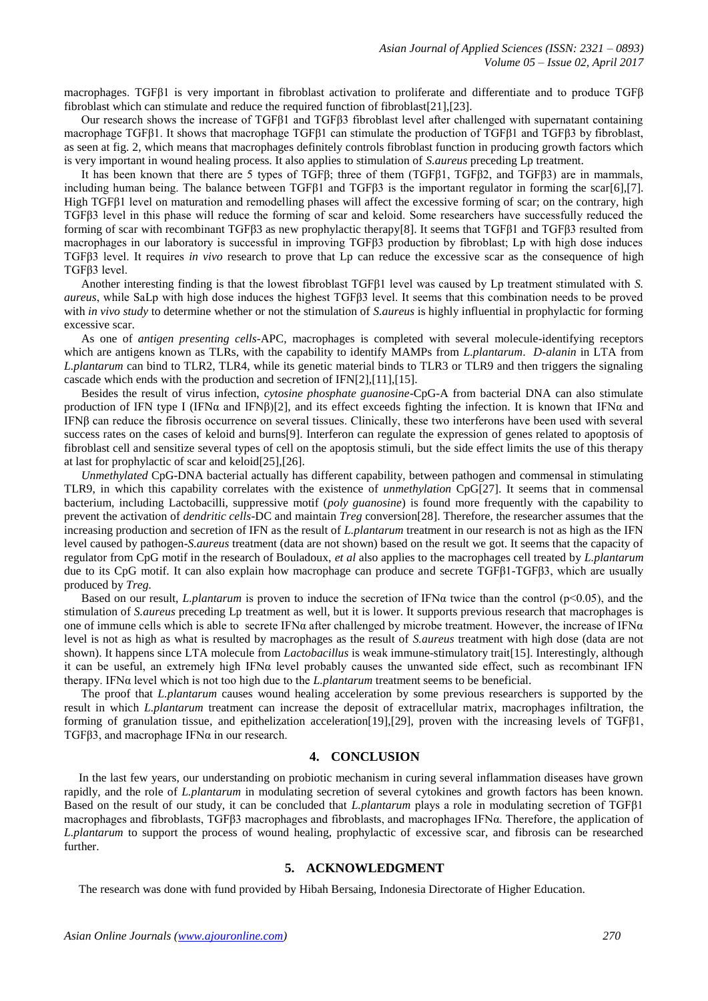macrophages. TGFβ1 is very important in fibroblast activation to proliferate and differentiate and to produce TGFβ fibroblast which can stimulate and reduce the required function of fibroblast[21],[23].

Our research shows the increase of TGFβ1 and TGFβ3 fibroblast level after challenged with supernatant containing macrophage TGFβ1. It shows that macrophage TGFβ1 can stimulate the production of TGFβ1 and TGFβ3 by fibroblast, as seen at fig. 2, which means that macrophages definitely controls fibroblast function in producing growth factors which is very important in wound healing process. It also applies to stimulation of *S.aureus* preceding Lp treatment.

It has been known that there are 5 types of TGFβ; three of them (TGFβ1, TGFβ2, and TGFβ3) are in mammals, including human being. The balance between TGFβ1 and TGFβ3 is the important regulator in forming the scar[6],[7]. High TGFβ1 level on maturation and remodelling phases will affect the excessive forming of scar; on the contrary, high TGFβ3 level in this phase will reduce the forming of scar and keloid. Some researchers have successfully reduced the forming of scar with recombinant TGFβ3 as new prophylactic therapy[8]. It seems that TGFβ1 and TGFβ3 resulted from macrophages in our laboratory is successful in improving TGFβ3 production by fibroblast; Lp with high dose induces TGFβ3 level. It requires *in vivo* research to prove that Lp can reduce the excessive scar as the consequence of high TGFβ3 level.

Another interesting finding is that the lowest fibroblast TGFβ1 level was caused by Lp treatment stimulated with *S. aureus*, while SaLp with high dose induces the highest TGFβ3 level. It seems that this combination needs to be proved with *in vivo study* to determine whether or not the stimulation of *S.aureus* is highly influential in prophylactic for forming excessive scar.

As one of *antigen presenting cells*-APC, macrophages is completed with several molecule-identifying receptors which are antigens known as TLRs, with the capability to identify MAMPs from *L.plantarum*. *D-alanin* in LTA from *L.plantarum* can bind to TLR2, TLR4, while its genetic material binds to TLR3 or TLR9 and then triggers the signaling cascade which ends with the production and secretion of IFN[2],[11],[15].

Besides the result of virus infection, *cytosine phosphate guanosine*-CpG-A from bacterial DNA can also stimulate production of IFN type I (IFN $\alpha$  and IFN $\beta$ )[2], and its effect exceeds fighting the infection. It is known that IFN $\alpha$  and IFNβ can reduce the fibrosis occurrence on several tissues. Clinically, these two interferons have been used with several success rates on the cases of keloid and burns[9]. Interferon can regulate the expression of genes related to apoptosis of fibroblast cell and sensitize several types of cell on the apoptosis stimuli, but the side effect limits the use of this therapy at last for prophylactic of scar and keloid[25],[26].

*Unmethylated* CpG-DNA bacterial actually has different capability, between pathogen and commensal in stimulating TLR9, in which this capability correlates with the existence of *unmethylation* CpG[27]. It seems that in commensal bacterium, including Lactobacilli, suppressive motif (*poly guanosine*) is found more frequently with the capability to prevent the activation of *dendritic cells*-DC and maintain *Treg* conversion[28]. Therefore, the researcher assumes that the increasing production and secretion of IFN as the result of *L.plantarum* treatment in our research is not as high as the IFN level caused by pathogen-*S.aureus* treatment (data are not shown) based on the result we got. It seems that the capacity of regulator from CpG motif in the research of Bouladoux, *et al* also applies to the macrophages cell treated by *L.plantarum* due to its CpG motif. It can also explain how macrophage can produce and secrete TGFβ1-TGFβ3, which are usually produced by *Treg.*

Based on our result, *L.plantarum* is proven to induce the secretion of IFNα twice than the control (p<0.05), and the stimulation of *S.aureus* preceding Lp treatment as well, but it is lower. It supports previous research that macrophages is one of immune cells which is able to secrete IFN $\alpha$  after challenged by microbe treatment. However, the increase of IFN $\alpha$ level is not as high as what is resulted by macrophages as the result of *S.aureus* treatment with high dose (data are not shown). It happens since LTA molecule from *Lactobacillus* is weak immune-stimulatory trait[15]. Interestingly, although it can be useful, an extremely high IFNα level probably causes the unwanted side effect, such as recombinant IFN therapy. IFNα level which is not too high due to the *L.plantarum* treatment seems to be beneficial.

The proof that *L.plantarum* causes wound healing acceleration by some previous researchers is supported by the result in which *L.plantarum* treatment can increase the deposit of extracellular matrix, macrophages infiltration, the forming of granulation tissue, and epithelization acceleration[19],[29], proven with the increasing levels of TGFβ1, TGF $\beta$ 3, and macrophage IFN $\alpha$  in our research.

#### **4. CONCLUSION**

In the last few years, our understanding on probiotic mechanism in curing several inflammation diseases have grown rapidly, and the role of *L.plantarum* in modulating secretion of several cytokines and growth factors has been known. Based on the result of our study, it can be concluded that *L.plantarum* plays a role in modulating secretion of TGFβ1 macrophages and fibroblasts, TGFβ3 macrophages and fibroblasts, and macrophages IFNα. Therefore, the application of *L.plantarum* to support the process of wound healing, prophylactic of excessive scar, and fibrosis can be researched further.

# **5. ACKNOWLEDGMENT**

The research was done with fund provided by Hibah Bersaing, Indonesia Directorate of Higher Education.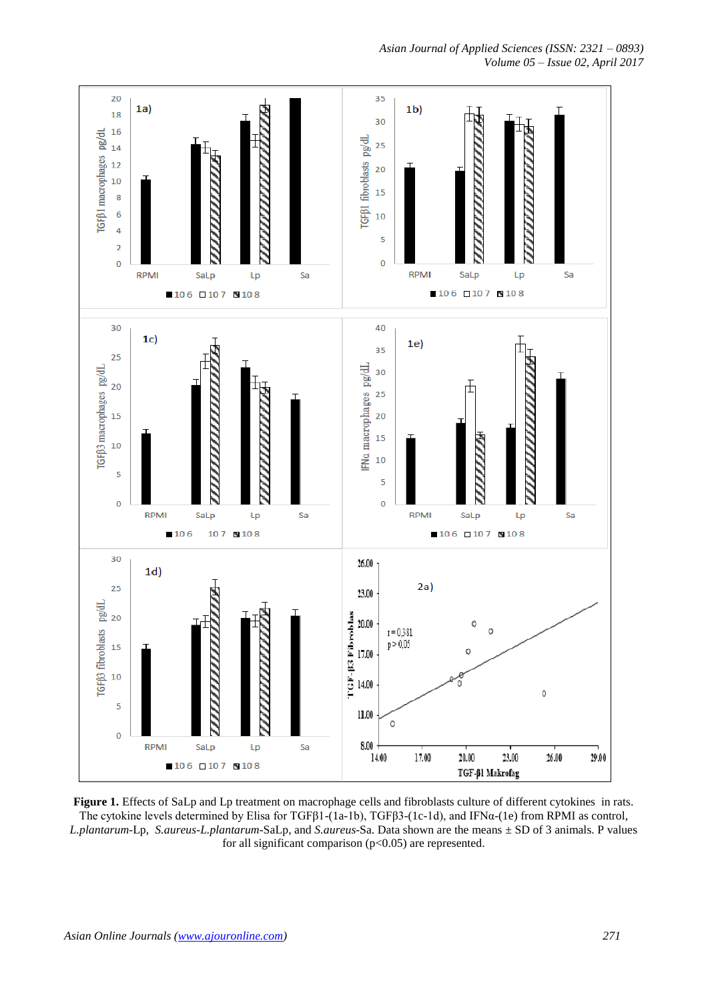*Asian Journal of Applied Sciences (ISSN: 2321 – 0893) Volume 05 – Issue 02, April 2017*



**Figure 1.** Effects of SaLp and Lp treatment on macrophage cells and fibroblasts culture of different cytokines in rats. The cytokine levels determined by Elisa for TGFβ1-(1a-1b), TGFβ3-(1c-1d), and IFNα-(1e) from RPMI as control, *L.plantarum*-Lp, *S.aureus-L.plantarum*-SaLp, and *S.aureus*-Sa. Data shown are the means ± SD of 3 animals. P values for all significant comparison  $(p<0.05)$  are represented.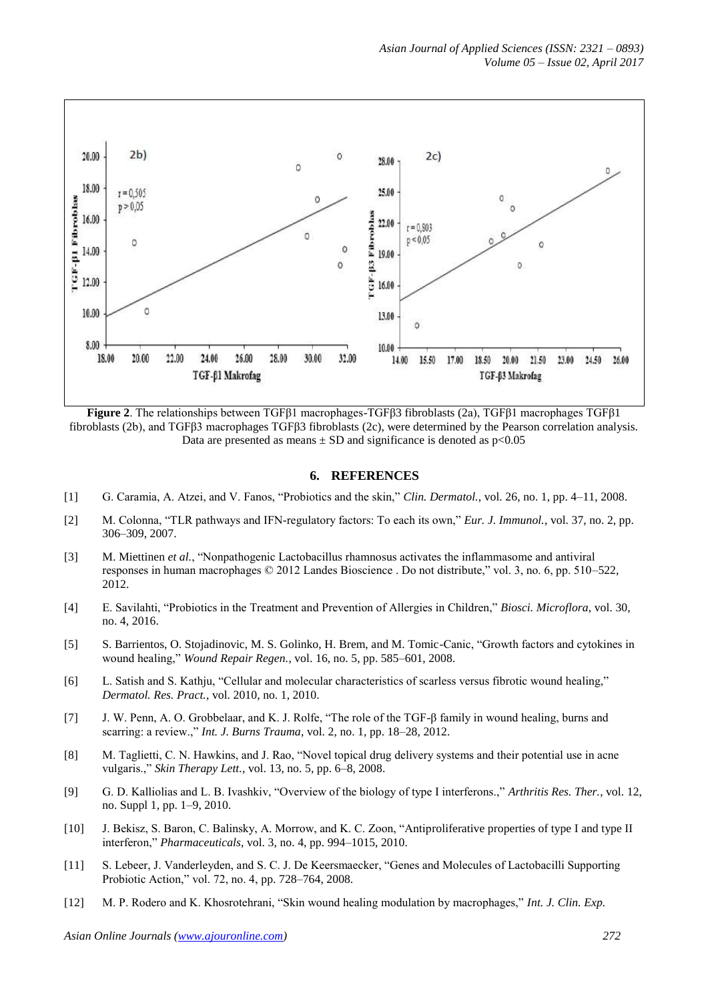

**Figure 2**. The relationships between TGFβ1 macrophages-TGFβ3 fibroblasts (2a), TGFβ1 macrophages TGFβ1 fibroblasts (2b), and TGFβ3 macrophages TGFβ3 fibroblasts (2c), were determined by the Pearson correlation analysis. Data are presented as means  $\pm$  SD and significance is denoted as  $p<0.05$ 

# **6. REFERENCES**

- [1] G. Caramia, A. Atzei, and V. Fanos, "Probiotics and the skin," *Clin. Dermatol.*, vol. 26, no. 1, pp. 4–11, 2008.
- [2] M. Colonna, "TLR pathways and IFN-regulatory factors: To each its own," *Eur. J. Immunol.*, vol. 37, no. 2, pp. 306–309, 2007.
- [3] M. Miettinen *et al.*, "Nonpathogenic Lactobacillus rhamnosus activates the inflammasome and antiviral responses in human macrophages © 2012 Landes Bioscience . Do not distribute," vol. 3, no. 6, pp. 510–522, 2012.
- [4] E. Savilahti, "Probiotics in the Treatment and Prevention of Allergies in Children," *Biosci. Microflora*, vol. 30, no. 4, 2016.
- [5] S. Barrientos, O. Stojadinovic, M. S. Golinko, H. Brem, and M. Tomic-Canic, "Growth factors and cytokines in wound healing," *Wound Repair Regen.*, vol. 16, no. 5, pp. 585–601, 2008.
- [6] L. Satish and S. Kathju, "Cellular and molecular characteristics of scarless versus fibrotic wound healing," *Dermatol. Res. Pract.*, vol. 2010, no. 1, 2010.
- [7] J. W. Penn, A. O. Grobbelaar, and K. J. Rolfe, "The role of the TGF-β family in wound healing, burns and scarring: a review.," *Int. J. Burns Trauma*, vol. 2, no. 1, pp. 18–28, 2012.
- [8] M. Taglietti, C. N. Hawkins, and J. Rao, "Novel topical drug delivery systems and their potential use in acne vulgaris.," *Skin Therapy Lett.*, vol. 13, no. 5, pp. 6–8, 2008.
- [9] G. D. Kalliolias and L. B. Ivashkiv, "Overview of the biology of type I interferons.," *Arthritis Res. Ther.*, vol. 12, no. Suppl 1, pp. 1–9, 2010.
- [10] J. Bekisz, S. Baron, C. Balinsky, A. Morrow, and K. C. Zoon, "Antiproliferative properties of type I and type II interferon," *Pharmaceuticals*, vol. 3, no. 4, pp. 994–1015, 2010.
- [11] S. Lebeer, J. Vanderleyden, and S. C. J. De Keersmaecker, "Genes and Molecules of Lactobacilli Supporting Probiotic Action," vol. 72, no. 4, pp. 728–764, 2008.
- [12] M. P. Rodero and K. Khosrotehrani, "Skin wound healing modulation by macrophages," *Int. J. Clin. Exp.*